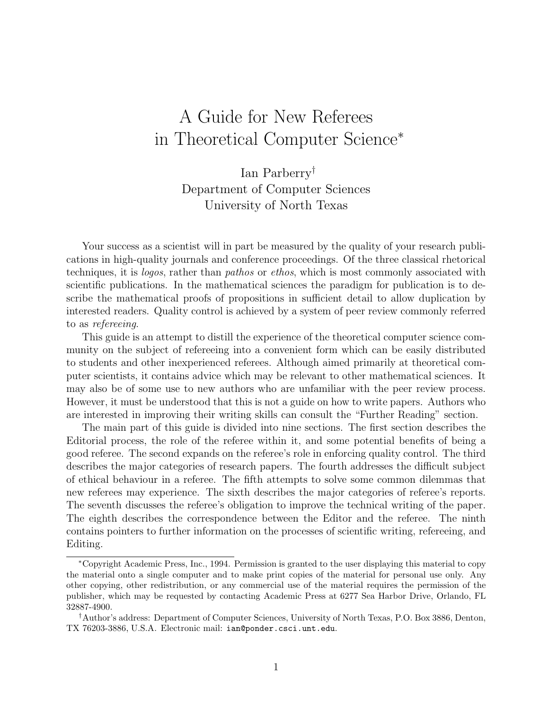# A Guide for New Referees in Theoretical Computer Science<sup>∗</sup>

Ian Parberry† Department of Computer Sciences University of North Texas

Your success as a scientist will in part be measured by the quality of your research publications in high-quality journals and conference proceedings. Of the three classical rhetorical techniques, it is logos, rather than pathos or ethos, which is most commonly associated with scientific publications. In the mathematical sciences the paradigm for publication is to describe the mathematical proofs of propositions in sufficient detail to allow duplication by interested readers. Quality control is achieved by a system of peer review commonly referred to as refereeing.

This guide is an attempt to distill the experience of the theoretical computer science community on the subject of refereeing into a convenient form which can be easily distributed to students and other inexperienced referees. Although aimed primarily at theoretical computer scientists, it contains advice which may be relevant to other mathematical sciences. It may also be of some use to new authors who are unfamiliar with the peer review process. However, it must be understood that this is not a guide on how to write papers. Authors who are interested in improving their writing skills can consult the "Further Reading" section.

The main part of this guide is divided into nine sections. The first section describes the Editorial process, the role of the referee within it, and some potential benefits of being a good referee. The second expands on the referee's role in enforcing quality control. The third describes the major categories of research papers. The fourth addresses the difficult subject of ethical behaviour in a referee. The fifth attempts to solve some common dilemmas that new referees may experience. The sixth describes the major categories of referee's reports. The seventh discusses the referee's obligation to improve the technical writing of the paper. The eighth describes the correspondence between the Editor and the referee. The ninth contains pointers to further information on the processes of scientific writing, refereeing, and Editing.

<sup>∗</sup>Copyright Academic Press, Inc., 1994. Permission is granted to the user displaying this material to copy the material onto a single computer and to make print copies of the material for personal use only. Any other copying, other redistribution, or any commercial use of the material requires the permission of the publisher, which may be requested by contacting Academic Press at 6277 Sea Harbor Drive, Orlando, FL 32887-4900.

<sup>†</sup>Author's address: Department of Computer Sciences, University of North Texas, P.O. Box 3886, Denton, TX 76203-3886, U.S.A. Electronic mail: ian@ponder.csci.unt.edu.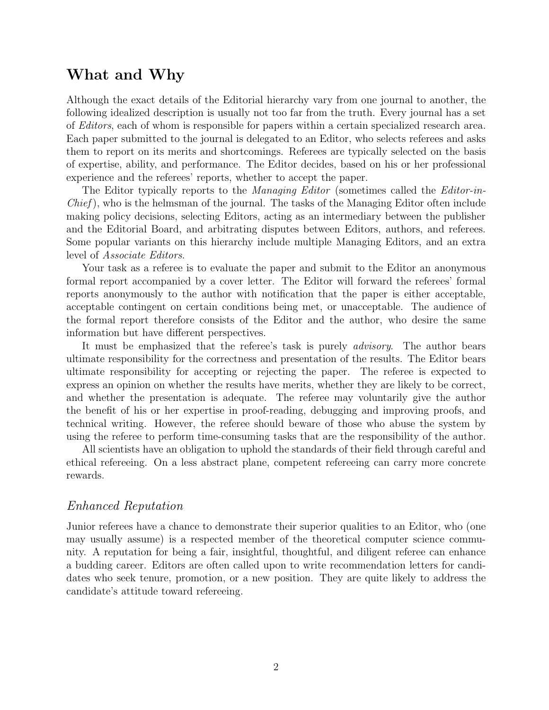## **What and Why**

Although the exact details of the Editorial hierarchy vary from one journal to another, the following idealized description is usually not too far from the truth. Every journal has a set of Editors, each of whom is responsible for papers within a certain specialized research area. Each paper submitted to the journal is delegated to an Editor, who selects referees and asks them to report on its merits and shortcomings. Referees are typically selected on the basis of expertise, ability, and performance. The Editor decides, based on his or her professional experience and the referees' reports, whether to accept the paper.

The Editor typically reports to the *Managing Editor* (sometimes called the *Editor-in-* $Chief$ ), who is the helmsman of the journal. The tasks of the Managing Editor often include making policy decisions, selecting Editors, acting as an intermediary between the publisher and the Editorial Board, and arbitrating disputes between Editors, authors, and referees. Some popular variants on this hierarchy include multiple Managing Editors, and an extra level of Associate Editors.

Your task as a referee is to evaluate the paper and submit to the Editor an anonymous formal report accompanied by a cover letter. The Editor will forward the referees' formal reports anonymously to the author with notification that the paper is either acceptable, acceptable contingent on certain conditions being met, or unacceptable. The audience of the formal report therefore consists of the Editor and the author, who desire the same information but have different perspectives.

It must be emphasized that the referee's task is purely *advisory*. The author bears ultimate responsibility for the correctness and presentation of the results. The Editor bears ultimate responsibility for accepting or rejecting the paper. The referee is expected to express an opinion on whether the results have merits, whether they are likely to be correct, and whether the presentation is adequate. The referee may voluntarily give the author the benefit of his or her expertise in proof-reading, debugging and improving proofs, and technical writing. However, the referee should beware of those who abuse the system by using the referee to perform time-consuming tasks that are the responsibility of the author.

All scientists have an obligation to uphold the standards of their field through careful and ethical refereeing. On a less abstract plane, competent refereeing can carry more concrete rewards.

#### Enhanced Reputation

Junior referees have a chance to demonstrate their superior qualities to an Editor, who (one may usually assume) is a respected member of the theoretical computer science community. A reputation for being a fair, insightful, thoughtful, and diligent referee can enhance a budding career. Editors are often called upon to write recommendation letters for candidates who seek tenure, promotion, or a new position. They are quite likely to address the candidate's attitude toward refereeing.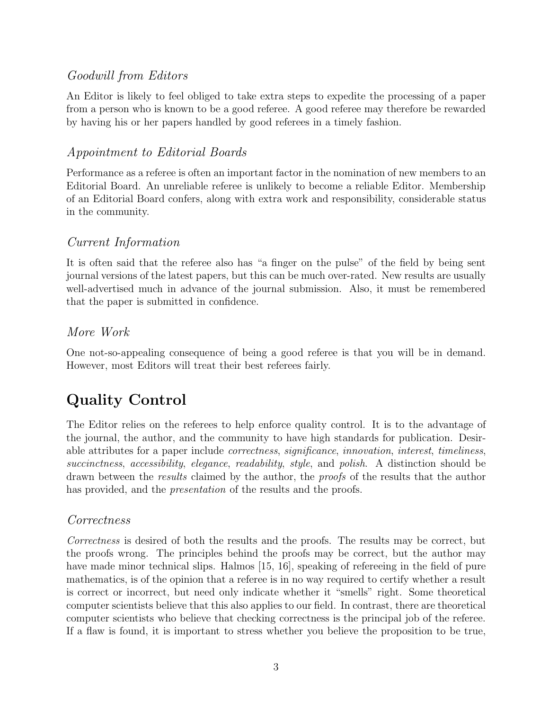### Goodwill from Editors

An Editor is likely to feel obliged to take extra steps to expedite the processing of a paper from a person who is known to be a good referee. A good referee may therefore be rewarded by having his or her papers handled by good referees in a timely fashion.

#### Appointment to Editorial Boards

Performance as a referee is often an important factor in the nomination of new members to an Editorial Board. An unreliable referee is unlikely to become a reliable Editor. Membership of an Editorial Board confers, along with extra work and responsibility, considerable status in the community.

#### Current Information

It is often said that the referee also has "a finger on the pulse" of the field by being sent journal versions of the latest papers, but this can be much over-rated. New results are usually well-advertised much in advance of the journal submission. Also, it must be remembered that the paper is submitted in confidence.

#### More Work

One not-so-appealing consequence of being a good referee is that you will be in demand. However, most Editors will treat their best referees fairly.

# **Quality Control**

The Editor relies on the referees to help enforce quality control. It is to the advantage of the journal, the author, and the community to have high standards for publication. Desirable attributes for a paper include correctness, significance, innovation, interest, timeliness, succinctness, accessibility, elegance, readability, style, and polish. A distinction should be drawn between the results claimed by the author, the proofs of the results that the author has provided, and the *presentation* of the results and the proofs.

### Correctness

Correctness is desired of both the results and the proofs. The results may be correct, but the proofs wrong. The principles behind the proofs may be correct, but the author may have made minor technical slips. Halmos [15, 16], speaking of refereeing in the field of pure mathematics, is of the opinion that a referee is in no way required to certify whether a result is correct or incorrect, but need only indicate whether it "smells" right. Some theoretical computer scientists believe that this also applies to our field. In contrast, there are theoretical computer scientists who believe that checking correctness is the principal job of the referee. If a flaw is found, it is important to stress whether you believe the proposition to be true,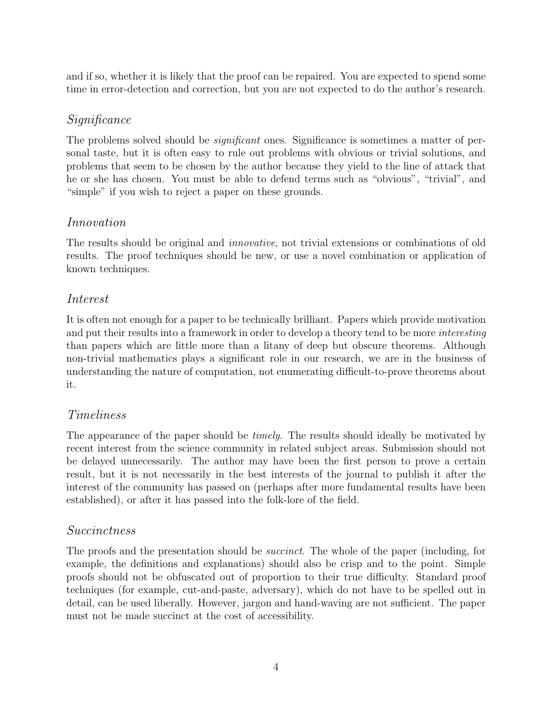and if so, whether it is likely that the proof can be repaired. You are expected to spend some time in error-detection and correction, but you are not expected to do the author's research.

### Significance

The problems solved should be *significant* ones. Significance is sometimes a matter of personal taste, but it is often easy to rule out problems with obvious or trivial solutions, and problems that seem to be chosen by the author because they yield to the line of attack that he or she has chosen. You must be able to defend terms such as "obvious", "trivial", and "simple" if you wish to reject a paper on these grounds.

#### Innovation

The results should be original and *innovative*, not trivial extensions or combinations of old results. The proof techniques should be new, or use a novel combination or application of known techniques.

#### Interest

It is often not enough for a paper to be technically brilliant. Papers which provide motivation and put their results into a framework in order to develop a theory tend to be more *interesting* than papers which are little more than a litany of deep but obscure theorems. Although non-trivial mathematics plays a significant role in our research, we are in the business of understanding the nature of computation, not enumerating difficult-to-prove theorems about it.

### Timeliness

The appearance of the paper should be *timely*. The results should ideally be motivated by recent interest from the science community in related subject areas. Submission should not be delayed unnecessarily. The author may have been the first person to prove a certain result, but it is not necessarily in the best interests of the journal to publish it after the interest of the community has passed on (perhaps after more fundamental results have been established), or after it has passed into the folk-lore of the field.

### Succinctness

The proofs and the presentation should be *succinct*. The whole of the paper (including, for example, the definitions and explanations) should also be crisp and to the point. Simple proofs should not be obfuscated out of proportion to their true difficulty. Standard proof techniques (for example, cut-and-paste, adversary), which do not have to be spelled out in detail, can be used liberally. However, jargon and hand-waving are not sufficient. The paper must not be made succinct at the cost of accessibility.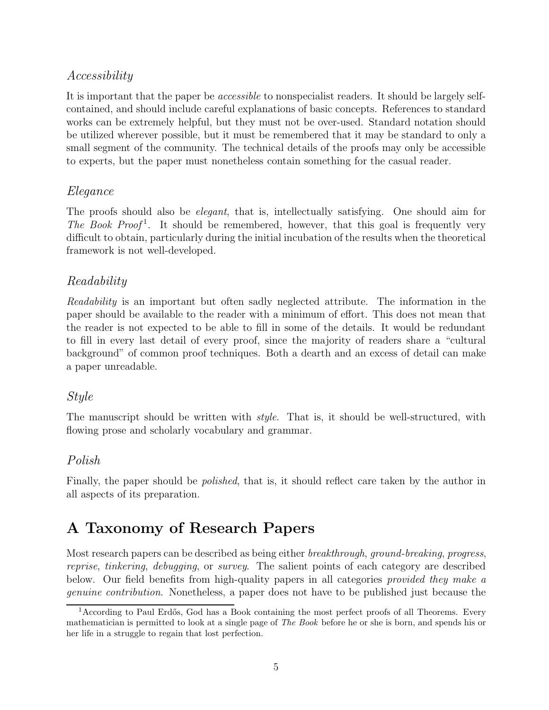#### Accessibility

It is important that the paper be *accessible* to nonspecialist readers. It should be largely selfcontained, and should include careful explanations of basic concepts. References to standard works can be extremely helpful, but they must not be over-used. Standard notation should be utilized wherever possible, but it must be remembered that it may be standard to only a small segment of the community. The technical details of the proofs may only be accessible to experts, but the paper must nonetheless contain something for the casual reader.

#### Elegance

The proofs should also be elegant, that is, intellectually satisfying. One should aim for The Book Proof<sup>1</sup>. It should be remembered, however, that this goal is frequently very difficult to obtain, particularly during the initial incubation of the results when the theoretical framework is not well-developed.

### Readability

Readability is an important but often sadly neglected attribute. The information in the paper should be available to the reader with a minimum of effort. This does not mean that the reader is not expected to be able to fill in some of the details. It would be redundant to fill in every last detail of every proof, since the majority of readers share a "cultural background" of common proof techniques. Both a dearth and an excess of detail can make a paper unreadable.

#### Style

The manuscript should be written with *style*. That is, it should be well-structured, with flowing prose and scholarly vocabulary and grammar.

### Polish

Finally, the paper should be polished, that is, it should reflect care taken by the author in all aspects of its preparation.

# **A Taxonomy of Research Papers**

Most research papers can be described as being either *breakthrough, ground-breaking, progress,* reprise, tinkering, debugging, or survey. The salient points of each category are described below. Our field benefits from high-quality papers in all categories provided they make a genuine contribution. Nonetheless, a paper does not have to be published just because the

 $1$ According to Paul Erdős, God has a Book containing the most perfect proofs of all Theorems. Every mathematician is permitted to look at a single page of *The Book* before he or she is born, and spends his or her life in a struggle to regain that lost perfection.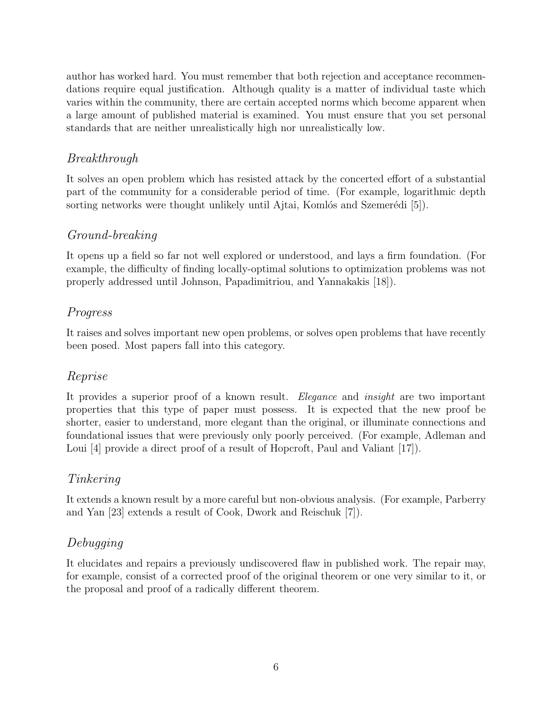author has worked hard. You must remember that both rejection and acceptance recommendations require equal justification. Although quality is a matter of individual taste which varies within the community, there are certain accepted norms which become apparent when a large amount of published material is examined. You must ensure that you set personal standards that are neither unrealistically high nor unrealistically low.

### Breakthrough

It solves an open problem which has resisted attack by the concerted effort of a substantial part of the community for a considerable period of time. (For example, logarithmic depth sorting networks were thought unlikely until Ajtai, Komlós and Szemerédi [5]).

## Ground-breaking

It opens up a field so far not well explored or understood, and lays a firm foundation. (For example, the difficulty of finding locally-optimal solutions to optimization problems was not properly addressed until Johnson, Papadimitriou, and Yannakakis [18]).

## Progress

It raises and solves important new open problems, or solves open problems that have recently been posed. Most papers fall into this category.

### Reprise

It provides a superior proof of a known result. Elegance and *insight* are two important properties that this type of paper must possess. It is expected that the new proof be shorter, easier to understand, more elegant than the original, or illuminate connections and foundational issues that were previously only poorly perceived. (For example, Adleman and Loui [4] provide a direct proof of a result of Hopcroft, Paul and Valiant [17].

### Tinkering

It extends a known result by a more careful but non-obvious analysis. (For example, Parberry and Yan [23] extends a result of Cook, Dwork and Reischuk [7]).

### Debugging

It elucidates and repairs a previously undiscovered flaw in published work. The repair may, for example, consist of a corrected proof of the original theorem or one very similar to it, or the proposal and proof of a radically different theorem.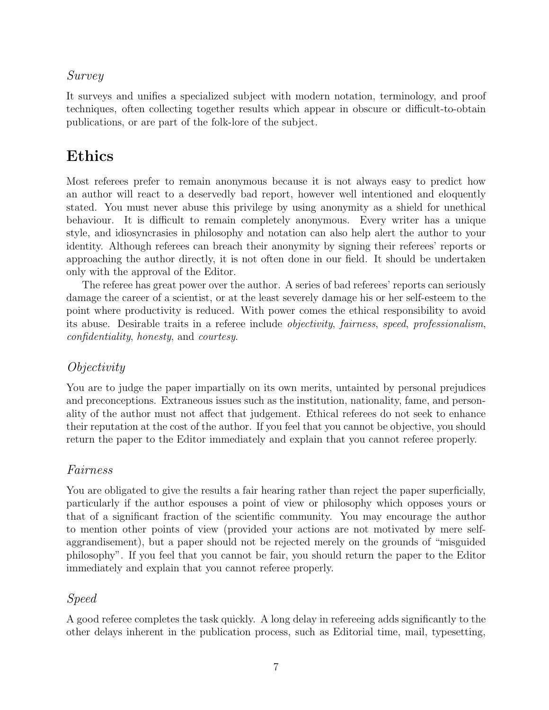#### Survey

It surveys and unifies a specialized subject with modern notation, terminology, and proof techniques, often collecting together results which appear in obscure or difficult-to-obtain publications, or are part of the folk-lore of the subject.

# **Ethics**

Most referees prefer to remain anonymous because it is not always easy to predict how an author will react to a deservedly bad report, however well intentioned and eloquently stated. You must never abuse this privilege by using anonymity as a shield for unethical behaviour. It is difficult to remain completely anonymous. Every writer has a unique style, and idiosyncrasies in philosophy and notation can also help alert the author to your identity. Although referees can breach their anonymity by signing their referees' reports or approaching the author directly, it is not often done in our field. It should be undertaken only with the approval of the Editor.

The referee has great power over the author. A series of bad referees' reports can seriously damage the career of a scientist, or at the least severely damage his or her self-esteem to the point where productivity is reduced. With power comes the ethical responsibility to avoid its abuse. Desirable traits in a referee include objectivity, fairness, speed, professionalism, confidentiality, honesty, and courtesy.

### Objectivity

You are to judge the paper impartially on its own merits, untainted by personal prejudices and preconceptions. Extraneous issues such as the institution, nationality, fame, and personality of the author must not affect that judgement. Ethical referees do not seek to enhance their reputation at the cost of the author. If you feel that you cannot be objective, you should return the paper to the Editor immediately and explain that you cannot referee properly.

#### Fairness

You are obligated to give the results a fair hearing rather than reject the paper superficially, particularly if the author espouses a point of view or philosophy which opposes yours or that of a significant fraction of the scientific community. You may encourage the author to mention other points of view (provided your actions are not motivated by mere selfaggrandisement), but a paper should not be rejected merely on the grounds of "misguided philosophy". If you feel that you cannot be fair, you should return the paper to the Editor immediately and explain that you cannot referee properly.

#### Speed

A good referee completes the task quickly. A long delay in refereeing adds significantly to the other delays inherent in the publication process, such as Editorial time, mail, typesetting,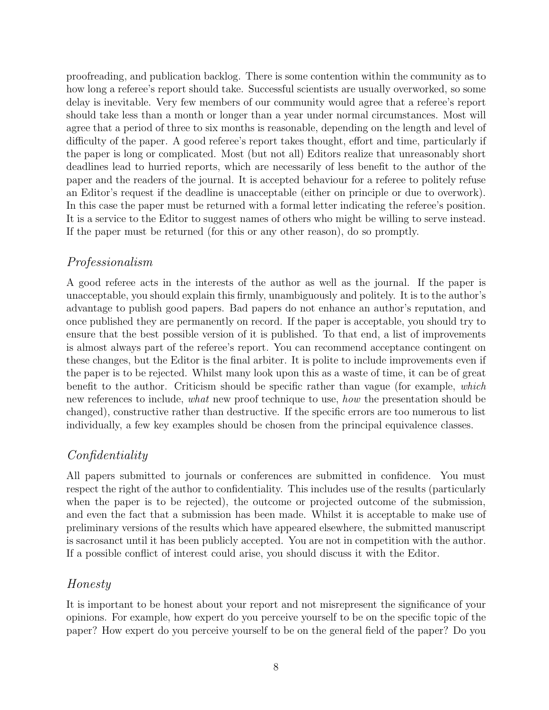proofreading, and publication backlog. There is some contention within the community as to how long a referee's report should take. Successful scientists are usually overworked, so some delay is inevitable. Very few members of our community would agree that a referee's report should take less than a month or longer than a year under normal circumstances. Most will agree that a period of three to six months is reasonable, depending on the length and level of difficulty of the paper. A good referee's report takes thought, effort and time, particularly if the paper is long or complicated. Most (but not all) Editors realize that unreasonably short deadlines lead to hurried reports, which are necessarily of less benefit to the author of the paper and the readers of the journal. It is accepted behaviour for a referee to politely refuse an Editor's request if the deadline is unacceptable (either on principle or due to overwork). In this case the paper must be returned with a formal letter indicating the referee's position. It is a service to the Editor to suggest names of others who might be willing to serve instead. If the paper must be returned (for this or any other reason), do so promptly.

### Professionalism

A good referee acts in the interests of the author as well as the journal. If the paper is unacceptable, you should explain this firmly, unambiguously and politely. It is to the author's advantage to publish good papers. Bad papers do not enhance an author's reputation, and once published they are permanently on record. If the paper is acceptable, you should try to ensure that the best possible version of it is published. To that end, a list of improvements is almost always part of the referee's report. You can recommend acceptance contingent on these changes, but the Editor is the final arbiter. It is polite to include improvements even if the paper is to be rejected. Whilst many look upon this as a waste of time, it can be of great benefit to the author. Criticism should be specific rather than vague (for example, which new references to include, what new proof technique to use, how the presentation should be changed), constructive rather than destructive. If the specific errors are too numerous to list individually, a few key examples should be chosen from the principal equivalence classes.

### Confidentiality

All papers submitted to journals or conferences are submitted in confidence. You must respect the right of the author to confidentiality. This includes use of the results (particularly when the paper is to be rejected), the outcome or projected outcome of the submission, and even the fact that a submission has been made. Whilst it is acceptable to make use of preliminary versions of the results which have appeared elsewhere, the submitted manuscript is sacrosanct until it has been publicly accepted. You are not in competition with the author. If a possible conflict of interest could arise, you should discuss it with the Editor.

### Honesty

It is important to be honest about your report and not misrepresent the significance of your opinions. For example, how expert do you perceive yourself to be on the specific topic of the paper? How expert do you perceive yourself to be on the general field of the paper? Do you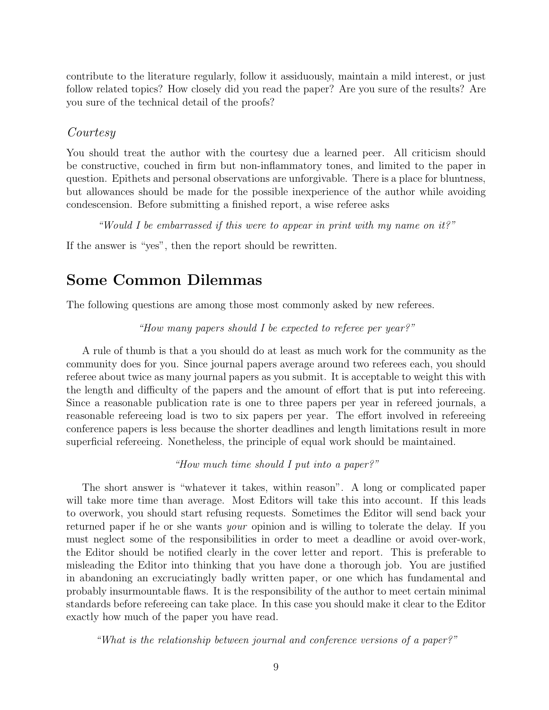contribute to the literature regularly, follow it assiduously, maintain a mild interest, or just follow related topics? How closely did you read the paper? Are you sure of the results? Are you sure of the technical detail of the proofs?

#### Courtesy

You should treat the author with the courtesy due a learned peer. All criticism should be constructive, couched in firm but non-inflammatory tones, and limited to the paper in question. Epithets and personal observations are unforgivable. There is a place for bluntness, but allowances should be made for the possible inexperience of the author while avoiding condescension. Before submitting a finished report, a wise referee asks

"Would I be embarrassed if this were to appear in print with my name on it?"

If the answer is "yes", then the report should be rewritten.

# **Some Common Dilemmas**

The following questions are among those most commonly asked by new referees.

"How many papers should I be expected to referee per year?"

A rule of thumb is that a you should do at least as much work for the community as the community does for you. Since journal papers average around two referees each, you should referee about twice as many journal papers as you submit. It is acceptable to weight this with the length and difficulty of the papers and the amount of effort that is put into refereeing. Since a reasonable publication rate is one to three papers per year in refereed journals, a reasonable refereeing load is two to six papers per year. The effort involved in refereeing conference papers is less because the shorter deadlines and length limitations result in more superficial refereeing. Nonetheless, the principle of equal work should be maintained.

"How much time should I put into a paper?"

The short answer is "whatever it takes, within reason". A long or complicated paper will take more time than average. Most Editors will take this into account. If this leads to overwork, you should start refusing requests. Sometimes the Editor will send back your returned paper if he or she wants *your* opinion and is willing to tolerate the delay. If you must neglect some of the responsibilities in order to meet a deadline or avoid over-work, the Editor should be notified clearly in the cover letter and report. This is preferable to misleading the Editor into thinking that you have done a thorough job. You are justified in abandoning an excruciatingly badly written paper, or one which has fundamental and probably insurmountable flaws. It is the responsibility of the author to meet certain minimal standards before refereeing can take place. In this case you should make it clear to the Editor exactly how much of the paper you have read.

"What is the relationship between journal and conference versions of a paper?"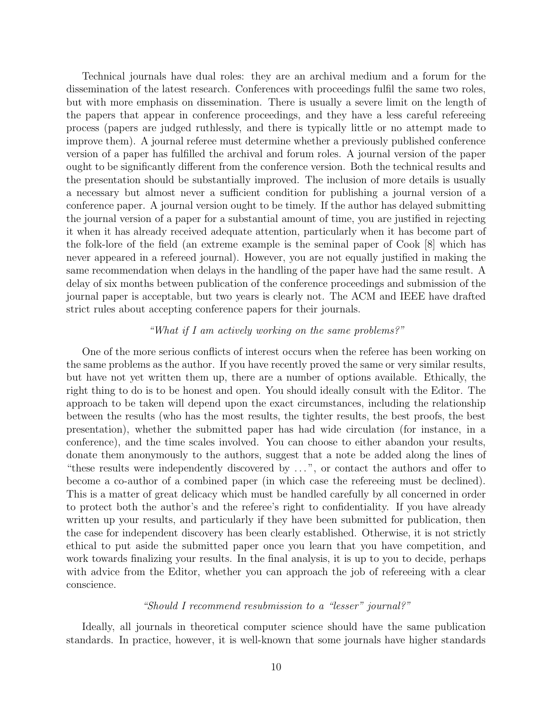Technical journals have dual roles: they are an archival medium and a forum for the dissemination of the latest research. Conferences with proceedings fulfil the same two roles, but with more emphasis on dissemination. There is usually a severe limit on the length of the papers that appear in conference proceedings, and they have a less careful refereeing process (papers are judged ruthlessly, and there is typically little or no attempt made to improve them). A journal referee must determine whether a previously published conference version of a paper has fulfilled the archival and forum roles. A journal version of the paper ought to be significantly different from the conference version. Both the technical results and the presentation should be substantially improved. The inclusion of more details is usually a necessary but almost never a sufficient condition for publishing a journal version of a conference paper. A journal version ought to be timely. If the author has delayed submitting the journal version of a paper for a substantial amount of time, you are justified in rejecting it when it has already received adequate attention, particularly when it has become part of the folk-lore of the field (an extreme example is the seminal paper of Cook [8] which has never appeared in a refereed journal). However, you are not equally justified in making the same recommendation when delays in the handling of the paper have had the same result. A delay of six months between publication of the conference proceedings and submission of the journal paper is acceptable, but two years is clearly not. The ACM and IEEE have drafted strict rules about accepting conference papers for their journals.

#### "What if I am actively working on the same problems?"

One of the more serious conflicts of interest occurs when the referee has been working on the same problems as the author. If you have recently proved the same or very similar results, but have not yet written them up, there are a number of options available. Ethically, the right thing to do is to be honest and open. You should ideally consult with the Editor. The approach to be taken will depend upon the exact circumstances, including the relationship between the results (who has the most results, the tighter results, the best proofs, the best presentation), whether the submitted paper has had wide circulation (for instance, in a conference), and the time scales involved. You can choose to either abandon your results, donate them anonymously to the authors, suggest that a note be added along the lines of "these results were independently discovered by . . . ", or contact the authors and offer to become a co-author of a combined paper (in which case the refereeing must be declined). This is a matter of great delicacy which must be handled carefully by all concerned in order to protect both the author's and the referee's right to confidentiality. If you have already written up your results, and particularly if they have been submitted for publication, then the case for independent discovery has been clearly established. Otherwise, it is not strictly ethical to put aside the submitted paper once you learn that you have competition, and work towards finalizing your results. In the final analysis, it is up to you to decide, perhaps with advice from the Editor, whether you can approach the job of refereeing with a clear conscience.

#### "Should I recommend resubmission to a "lesser" journal?"

Ideally, all journals in theoretical computer science should have the same publication standards. In practice, however, it is well-known that some journals have higher standards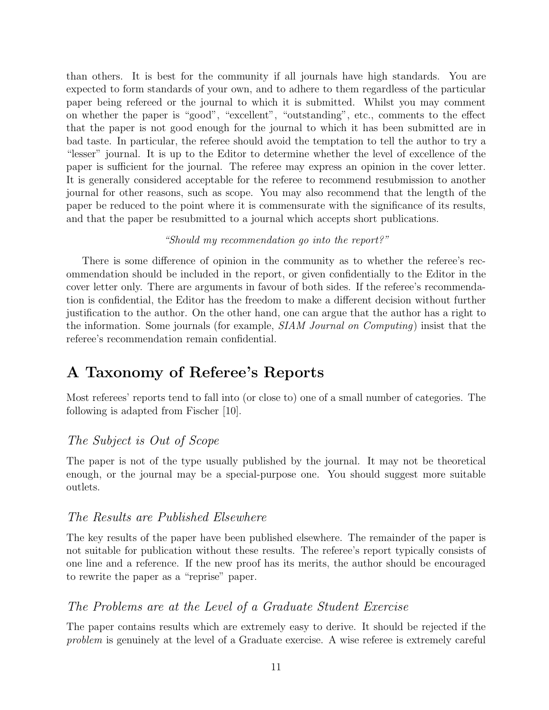than others. It is best for the community if all journals have high standards. You are expected to form standards of your own, and to adhere to them regardless of the particular paper being refereed or the journal to which it is submitted. Whilst you may comment on whether the paper is "good", "excellent", "outstanding", etc., comments to the effect that the paper is not good enough for the journal to which it has been submitted are in bad taste. In particular, the referee should avoid the temptation to tell the author to try a "lesser" journal. It is up to the Editor to determine whether the level of excellence of the paper is sufficient for the journal. The referee may express an opinion in the cover letter. It is generally considered acceptable for the referee to recommend resubmission to another journal for other reasons, such as scope. You may also recommend that the length of the paper be reduced to the point where it is commensurate with the significance of its results, and that the paper be resubmitted to a journal which accepts short publications.

#### "Should my recommendation go into the report?"

There is some difference of opinion in the community as to whether the referee's recommendation should be included in the report, or given confidentially to the Editor in the cover letter only. There are arguments in favour of both sides. If the referee's recommendation is confidential, the Editor has the freedom to make a different decision without further justification to the author. On the other hand, one can argue that the author has a right to the information. Some journals (for example, SIAM Journal on Computing) insist that the referee's recommendation remain confidential.

# **A Taxonomy of Referee's Reports**

Most referees' reports tend to fall into (or close to) one of a small number of categories. The following is adapted from Fischer [10].

#### The Subject is Out of Scope

The paper is not of the type usually published by the journal. It may not be theoretical enough, or the journal may be a special-purpose one. You should suggest more suitable outlets.

#### The Results are Published Elsewhere

The key results of the paper have been published elsewhere. The remainder of the paper is not suitable for publication without these results. The referee's report typically consists of one line and a reference. If the new proof has its merits, the author should be encouraged to rewrite the paper as a "reprise" paper.

#### The Problems are at the Level of a Graduate Student Exercise

The paper contains results which are extremely easy to derive. It should be rejected if the problem is genuinely at the level of a Graduate exercise. A wise referee is extremely careful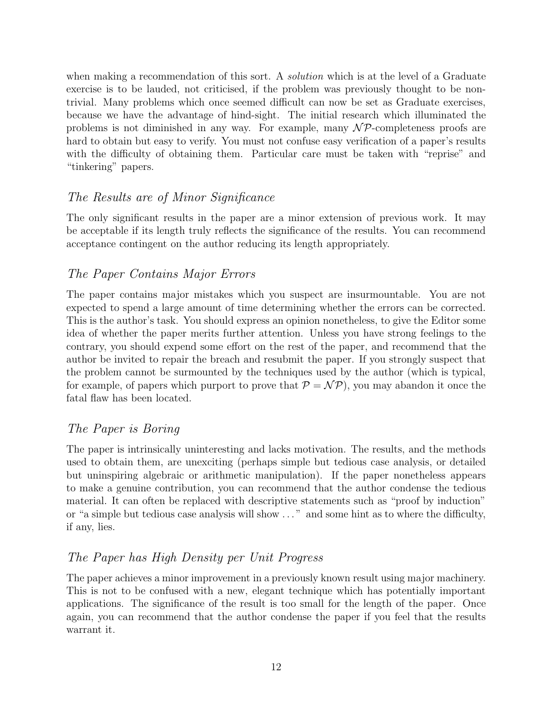when making a recommendation of this sort. A *solution* which is at the level of a Graduate exercise is to be lauded, not criticised, if the problem was previously thought to be nontrivial. Many problems which once seemed difficult can now be set as Graduate exercises, because we have the advantage of hind-sight. The initial research which illuminated the problems is not diminished in any way. For example, many  $\mathcal{NP}$ -completeness proofs are hard to obtain but easy to verify. You must not confuse easy verification of a paper's results with the difficulty of obtaining them. Particular care must be taken with "reprise" and "tinkering" papers.

#### The Results are of Minor Significance

The only significant results in the paper are a minor extension of previous work. It may be acceptable if its length truly reflects the significance of the results. You can recommend acceptance contingent on the author reducing its length appropriately.

#### The Paper Contains Major Errors

The paper contains major mistakes which you suspect are insurmountable. You are not expected to spend a large amount of time determining whether the errors can be corrected. This is the author's task. You should express an opinion nonetheless, to give the Editor some idea of whether the paper merits further attention. Unless you have strong feelings to the contrary, you should expend some effort on the rest of the paper, and recommend that the author be invited to repair the breach and resubmit the paper. If you strongly suspect that the problem cannot be surmounted by the techniques used by the author (which is typical, for example, of papers which purport to prove that  $P = \mathcal{NP}$ , you may abandon it once the fatal flaw has been located.

#### The Paper is Boring

The paper is intrinsically uninteresting and lacks motivation. The results, and the methods used to obtain them, are unexciting (perhaps simple but tedious case analysis, or detailed but uninspiring algebraic or arithmetic manipulation). If the paper nonetheless appears to make a genuine contribution, you can recommend that the author condense the tedious material. It can often be replaced with descriptive statements such as "proof by induction" or "a simple but tedious case analysis will show . . . " and some hint as to where the difficulty, if any, lies.

#### The Paper has High Density per Unit Progress

The paper achieves a minor improvement in a previously known result using major machinery. This is not to be confused with a new, elegant technique which has potentially important applications. The significance of the result is too small for the length of the paper. Once again, you can recommend that the author condense the paper if you feel that the results warrant it.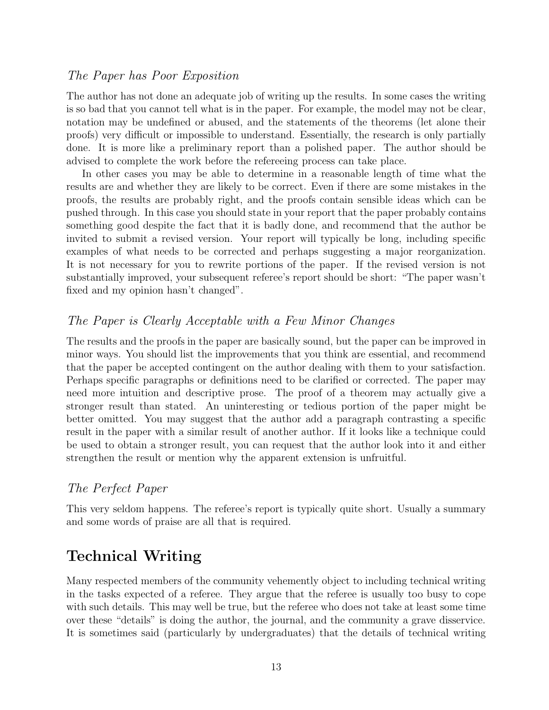#### The Paper has Poor Exposition

The author has not done an adequate job of writing up the results. In some cases the writing is so bad that you cannot tell what is in the paper. For example, the model may not be clear, notation may be undefined or abused, and the statements of the theorems (let alone their proofs) very difficult or impossible to understand. Essentially, the research is only partially done. It is more like a preliminary report than a polished paper. The author should be advised to complete the work before the refereeing process can take place.

In other cases you may be able to determine in a reasonable length of time what the results are and whether they are likely to be correct. Even if there are some mistakes in the proofs, the results are probably right, and the proofs contain sensible ideas which can be pushed through. In this case you should state in your report that the paper probably contains something good despite the fact that it is badly done, and recommend that the author be invited to submit a revised version. Your report will typically be long, including specific examples of what needs to be corrected and perhaps suggesting a major reorganization. It is not necessary for you to rewrite portions of the paper. If the revised version is not substantially improved, your subsequent referee's report should be short: "The paper wasn't fixed and my opinion hasn't changed".

#### The Paper is Clearly Acceptable with a Few Minor Changes

The results and the proofs in the paper are basically sound, but the paper can be improved in minor ways. You should list the improvements that you think are essential, and recommend that the paper be accepted contingent on the author dealing with them to your satisfaction. Perhaps specific paragraphs or definitions need to be clarified or corrected. The paper may need more intuition and descriptive prose. The proof of a theorem may actually give a stronger result than stated. An uninteresting or tedious portion of the paper might be better omitted. You may suggest that the author add a paragraph contrasting a specific result in the paper with a similar result of another author. If it looks like a technique could be used to obtain a stronger result, you can request that the author look into it and either strengthen the result or mention why the apparent extension is unfruitful.

#### The Perfect Paper

This very seldom happens. The referee's report is typically quite short. Usually a summary and some words of praise are all that is required.

# **Technical Writing**

Many respected members of the community vehemently object to including technical writing in the tasks expected of a referee. They argue that the referee is usually too busy to cope with such details. This may well be true, but the referee who does not take at least some time over these "details" is doing the author, the journal, and the community a grave disservice. It is sometimes said (particularly by undergraduates) that the details of technical writing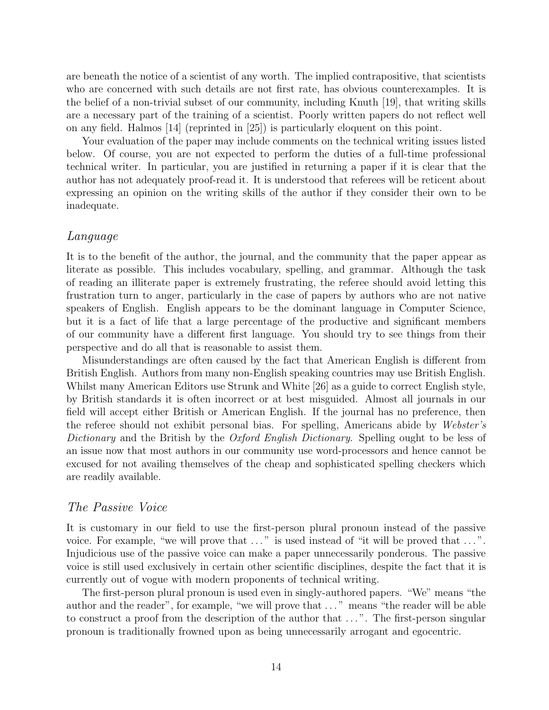are beneath the notice of a scientist of any worth. The implied contrapositive, that scientists who are concerned with such details are not first rate, has obvious counterexamples. It is the belief of a non-trivial subset of our community, including Knuth [19], that writing skills are a necessary part of the training of a scientist. Poorly written papers do not reflect well on any field. Halmos [14] (reprinted in [25]) is particularly eloquent on this point.

Your evaluation of the paper may include comments on the technical writing issues listed below. Of course, you are not expected to perform the duties of a full-time professional technical writer. In particular, you are justified in returning a paper if it is clear that the author has not adequately proof-read it. It is understood that referees will be reticent about expressing an opinion on the writing skills of the author if they consider their own to be inadequate.

#### Language

It is to the benefit of the author, the journal, and the community that the paper appear as literate as possible. This includes vocabulary, spelling, and grammar. Although the task of reading an illiterate paper is extremely frustrating, the referee should avoid letting this frustration turn to anger, particularly in the case of papers by authors who are not native speakers of English. English appears to be the dominant language in Computer Science, but it is a fact of life that a large percentage of the productive and significant members of our community have a different first language. You should try to see things from their perspective and do all that is reasonable to assist them.

Misunderstandings are often caused by the fact that American English is different from British English. Authors from many non-English speaking countries may use British English. Whilst many American Editors use Strunk and White [26] as a guide to correct English style, by British standards it is often incorrect or at best misguided. Almost all journals in our field will accept either British or American English. If the journal has no preference, then the referee should not exhibit personal bias. For spelling, Americans abide by Webster's Dictionary and the British by the Oxford English Dictionary. Spelling ought to be less of an issue now that most authors in our community use word-processors and hence cannot be excused for not availing themselves of the cheap and sophisticated spelling checkers which are readily available.

#### The Passive Voice

It is customary in our field to use the first-person plural pronoun instead of the passive voice. For example, "we will prove that  $\dots$ " is used instead of "it will be proved that  $\dots$ ". Injudicious use of the passive voice can make a paper unnecessarily ponderous. The passive voice is still used exclusively in certain other scientific disciplines, despite the fact that it is currently out of vogue with modern proponents of technical writing.

The first-person plural pronoun is used even in singly-authored papers. "We" means "the author and the reader", for example, "we will prove that . . . " means "the reader will be able to construct a proof from the description of the author that ...". The first-person singular pronoun is traditionally frowned upon as being unnecessarily arrogant and egocentric.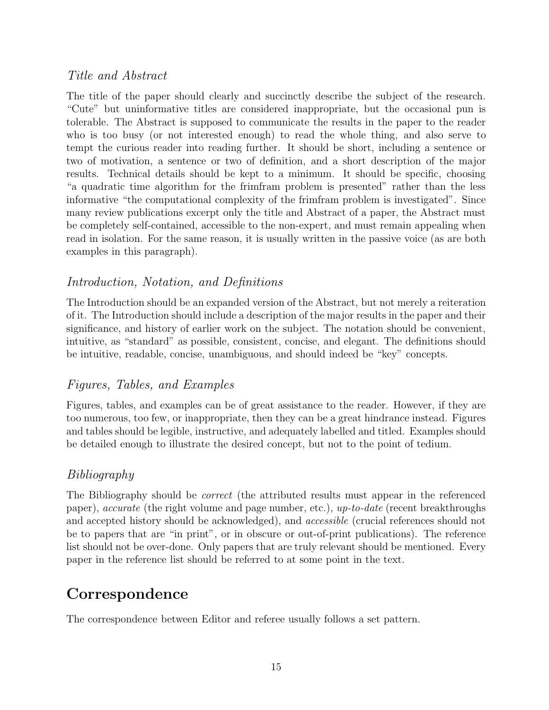#### Title and Abstract

The title of the paper should clearly and succinctly describe the subject of the research. "Cute" but uninformative titles are considered inappropriate, but the occasional pun is tolerable. The Abstract is supposed to communicate the results in the paper to the reader who is too busy (or not interested enough) to read the whole thing, and also serve to tempt the curious reader into reading further. It should be short, including a sentence or two of motivation, a sentence or two of definition, and a short description of the major results. Technical details should be kept to a minimum. It should be specific, choosing "a quadratic time algorithm for the frimfram problem is presented" rather than the less informative "the computational complexity of the frimfram problem is investigated". Since many review publications excerpt only the title and Abstract of a paper, the Abstract must be completely self-contained, accessible to the non-expert, and must remain appealing when read in isolation. For the same reason, it is usually written in the passive voice (as are both examples in this paragraph).

#### Introduction, Notation, and Definitions

The Introduction should be an expanded version of the Abstract, but not merely a reiteration of it. The Introduction should include a description of the major results in the paper and their significance, and history of earlier work on the subject. The notation should be convenient, intuitive, as "standard" as possible, consistent, concise, and elegant. The definitions should be intuitive, readable, concise, unambiguous, and should indeed be "key" concepts.

### Figures, Tables, and Examples

Figures, tables, and examples can be of great assistance to the reader. However, if they are too numerous, too few, or inappropriate, then they can be a great hindrance instead. Figures and tables should be legible, instructive, and adequately labelled and titled. Examples should be detailed enough to illustrate the desired concept, but not to the point of tedium.

### Bibliography

The Bibliography should be correct (the attributed results must appear in the referenced paper), accurate (the right volume and page number, etc.), up-to-date (recent breakthroughs and accepted history should be acknowledged), and accessible (crucial references should not be to papers that are "in print", or in obscure or out-of-print publications). The reference list should not be over-done. Only papers that are truly relevant should be mentioned. Every paper in the reference list should be referred to at some point in the text.

# **Correspondence**

The correspondence between Editor and referee usually follows a set pattern.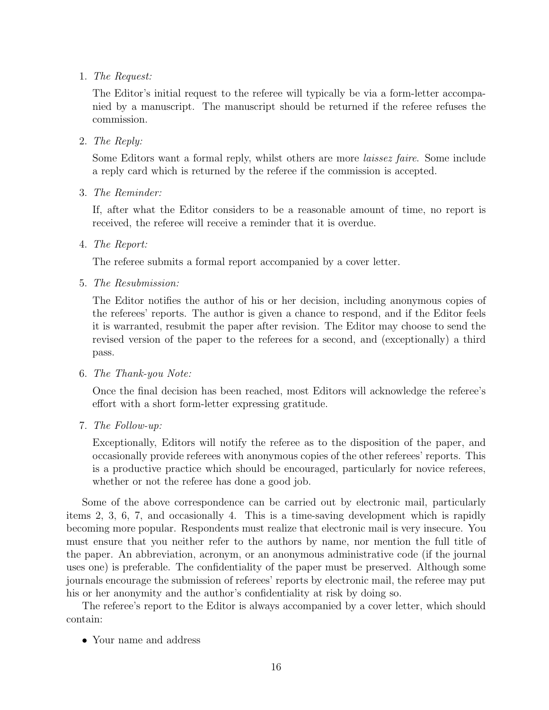1. The Request:

The Editor's initial request to the referee will typically be via a form-letter accompanied by a manuscript. The manuscript should be returned if the referee refuses the commission.

2. The Reply:

Some Editors want a formal reply, whilst others are more laissez faire. Some include a reply card which is returned by the referee if the commission is accepted.

3. The Reminder:

If, after what the Editor considers to be a reasonable amount of time, no report is received, the referee will receive a reminder that it is overdue.

4. The Report:

The referee submits a formal report accompanied by a cover letter.

5. The Resubmission:

The Editor notifies the author of his or her decision, including anonymous copies of the referees' reports. The author is given a chance to respond, and if the Editor feels it is warranted, resubmit the paper after revision. The Editor may choose to send the revised version of the paper to the referees for a second, and (exceptionally) a third pass.

6. The Thank-you Note:

Once the final decision has been reached, most Editors will acknowledge the referee's effort with a short form-letter expressing gratitude.

7. The Follow-up:

Exceptionally, Editors will notify the referee as to the disposition of the paper, and occasionally provide referees with anonymous copies of the other referees' reports. This is a productive practice which should be encouraged, particularly for novice referees, whether or not the referee has done a good job.

Some of the above correspondence can be carried out by electronic mail, particularly items 2, 3, 6, 7, and occasionally 4. This is a time-saving development which is rapidly becoming more popular. Respondents must realize that electronic mail is very insecure. You must ensure that you neither refer to the authors by name, nor mention the full title of the paper. An abbreviation, acronym, or an anonymous administrative code (if the journal uses one) is preferable. The confidentiality of the paper must be preserved. Although some journals encourage the submission of referees' reports by electronic mail, the referee may put his or her anonymity and the author's confidentiality at risk by doing so.

The referee's report to the Editor is always accompanied by a cover letter, which should contain:

• Your name and address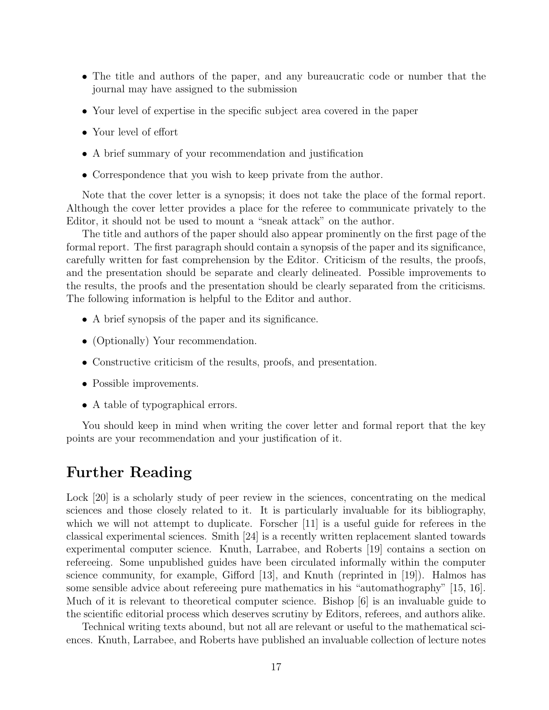- The title and authors of the paper, and any bureaucratic code or number that the journal may have assigned to the submission
- Your level of expertise in the specific subject area covered in the paper
- Your level of effort
- A brief summary of your recommendation and justification
- Correspondence that you wish to keep private from the author.

Note that the cover letter is a synopsis; it does not take the place of the formal report. Although the cover letter provides a place for the referee to communicate privately to the Editor, it should not be used to mount a "sneak attack" on the author.

The title and authors of the paper should also appear prominently on the first page of the formal report. The first paragraph should contain a synopsis of the paper and its significance, carefully written for fast comprehension by the Editor. Criticism of the results, the proofs, and the presentation should be separate and clearly delineated. Possible improvements to the results, the proofs and the presentation should be clearly separated from the criticisms. The following information is helpful to the Editor and author.

- A brief synopsis of the paper and its significance.
- (Optionally) Your recommendation.
- Constructive criticism of the results, proofs, and presentation.
- Possible improvements.
- A table of typographical errors.

You should keep in mind when writing the cover letter and formal report that the key points are your recommendation and your justification of it.

## **Further Reading**

Lock [20] is a scholarly study of peer review in the sciences, concentrating on the medical sciences and those closely related to it. It is particularly invaluable for its bibliography, which we will not attempt to duplicate. Forscher [11] is a useful guide for referees in the classical experimental sciences. Smith [24] is a recently written replacement slanted towards experimental computer science. Knuth, Larrabee, and Roberts [19] contains a section on refereeing. Some unpublished guides have been circulated informally within the computer science community, for example, Gifford [13], and Knuth (reprinted in [19]). Halmos has some sensible advice about refereeing pure mathematics in his "automathography" [15, 16]. Much of it is relevant to theoretical computer science. Bishop [6] is an invaluable guide to the scientific editorial process which deserves scrutiny by Editors, referees, and authors alike.

Technical writing texts abound, but not all are relevant or useful to the mathematical sciences. Knuth, Larrabee, and Roberts have published an invaluable collection of lecture notes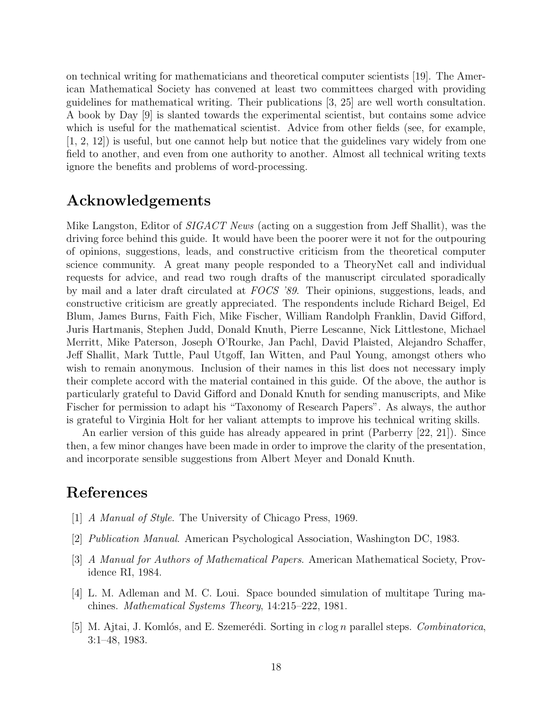on technical writing for mathematicians and theoretical computer scientists [19]. The American Mathematical Society has convened at least two committees charged with providing guidelines for mathematical writing. Their publications [3, 25] are well worth consultation. A book by Day [9] is slanted towards the experimental scientist, but contains some advice which is useful for the mathematical scientist. Advice from other fields (see, for example, [1, 2, 12]) is useful, but one cannot help but notice that the guidelines vary widely from one field to another, and even from one authority to another. Almost all technical writing texts ignore the benefits and problems of word-processing.

# **Acknowledgements**

Mike Langston, Editor of *SIGACT News* (acting on a suggestion from Jeff Shallit), was the driving force behind this guide. It would have been the poorer were it not for the outpouring of opinions, suggestions, leads, and constructive criticism from the theoretical computer science community. A great many people responded to a TheoryNet call and individual requests for advice, and read two rough drafts of the manuscript circulated sporadically by mail and a later draft circulated at FOCS '89. Their opinions, suggestions, leads, and constructive criticism are greatly appreciated. The respondents include Richard Beigel, Ed Blum, James Burns, Faith Fich, Mike Fischer, William Randolph Franklin, David Gifford, Juris Hartmanis, Stephen Judd, Donald Knuth, Pierre Lescanne, Nick Littlestone, Michael Merritt, Mike Paterson, Joseph O'Rourke, Jan Pachl, David Plaisted, Alejandro Schaffer, Jeff Shallit, Mark Tuttle, Paul Utgoff, Ian Witten, and Paul Young, amongst others who wish to remain anonymous. Inclusion of their names in this list does not necessary imply their complete accord with the material contained in this guide. Of the above, the author is particularly grateful to David Gifford and Donald Knuth for sending manuscripts, and Mike Fischer for permission to adapt his "Taxonomy of Research Papers". As always, the author is grateful to Virginia Holt for her valiant attempts to improve his technical writing skills.

An earlier version of this guide has already appeared in print (Parberry [22, 21]). Since then, a few minor changes have been made in order to improve the clarity of the presentation, and incorporate sensible suggestions from Albert Meyer and Donald Knuth.

# **References**

- [1] A Manual of Style. The University of Chicago Press, 1969.
- [2] Publication Manual. American Psychological Association, Washington DC, 1983.
- [3] A Manual for Authors of Mathematical Papers. American Mathematical Society, Providence RI, 1984.
- [4] L. M. Adleman and M. C. Loui. Space bounded simulation of multitape Turing machines. Mathematical Systems Theory, 14:215–222, 1981.
- [5] M. Ajtai, J. Komlós, and E. Szemerédi. Sorting in *c* log *n* parallel steps. *Combinatorica*, 3:1–48, 1983.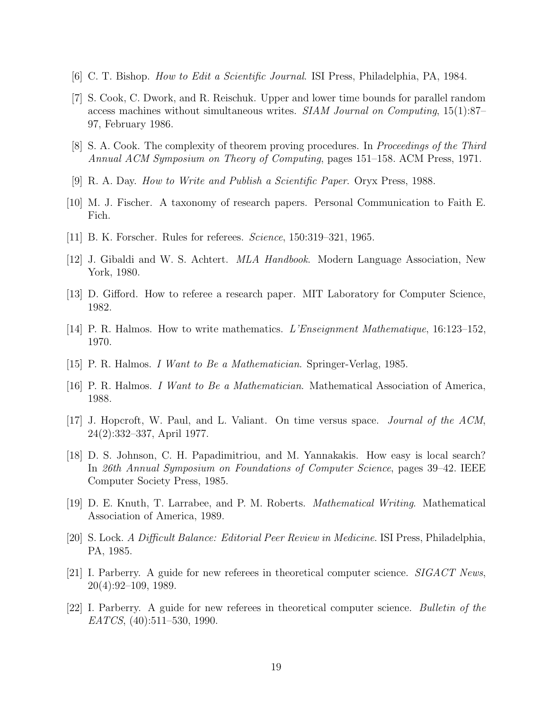- [6] C. T. Bishop. How to Edit a Scientific Journal. ISI Press, Philadelphia, PA, 1984.
- [7] S. Cook, C. Dwork, and R. Reischuk. Upper and lower time bounds for parallel random access machines without simultaneous writes. SIAM Journal on Computing, 15(1):87– 97, February 1986.
- [8] S. A. Cook. The complexity of theorem proving procedures. In Proceedings of the Third Annual ACM Symposium on Theory of Computing, pages 151–158. ACM Press, 1971.
- [9] R. A. Day. How to Write and Publish a Scientific Paper. Oryx Press, 1988.
- [10] M. J. Fischer. A taxonomy of research papers. Personal Communication to Faith E. Fich.
- [11] B. K. Forscher. Rules for referees. Science, 150:319–321, 1965.
- [12] J. Gibaldi and W. S. Achtert. MLA Handbook. Modern Language Association, New York, 1980.
- [13] D. Gifford. How to referee a research paper. MIT Laboratory for Computer Science, 1982.
- [14] P. R. Halmos. How to write mathematics. L'Enseignment Mathematique, 16:123–152, 1970.
- [15] P. R. Halmos. I Want to Be a Mathematician. Springer-Verlag, 1985.
- [16] P. R. Halmos. I Want to Be a Mathematician. Mathematical Association of America, 1988.
- [17] J. Hopcroft, W. Paul, and L. Valiant. On time versus space. Journal of the ACM, 24(2):332–337, April 1977.
- [18] D. S. Johnson, C. H. Papadimitriou, and M. Yannakakis. How easy is local search? In 26th Annual Symposium on Foundations of Computer Science, pages 39–42. IEEE Computer Society Press, 1985.
- [19] D. E. Knuth, T. Larrabee, and P. M. Roberts. Mathematical Writing. Mathematical Association of America, 1989.
- [20] S. Lock. A Difficult Balance: Editorial Peer Review in Medicine. ISI Press, Philadelphia, PA, 1985.
- [21] I. Parberry. A guide for new referees in theoretical computer science. SIGACT News, 20(4):92–109, 1989.
- [22] I. Parberry. A guide for new referees in theoretical computer science. Bulletin of the EATCS, (40):511–530, 1990.